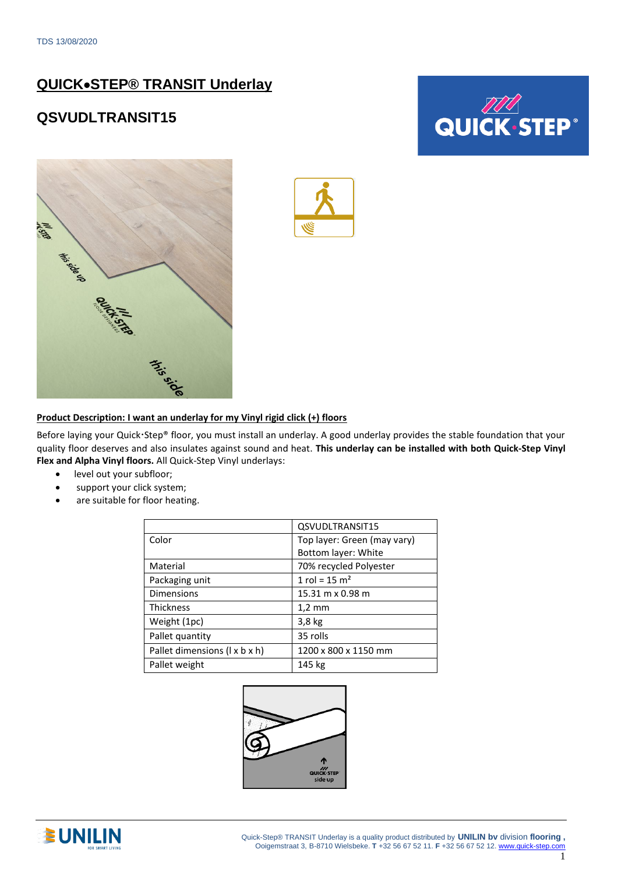## **QUICK**•**STEP® TRANSIT Underlay**

### **QSVUDLTRANSIT15**







#### **Product Description: I want an underlay for my Vinyl rigid click (+) floors**

Before laying your Quick Step® floor, you must install an underlay. A good underlay provides the stable foundation that your quality floor deserves and also insulates against sound and heat. **This underlay can be installed with both Quick-Step Vinyl Flex and Alpha Vinyl floors.** All Quick-Step Vinyl underlays:

- level out your subfloor;
- support your click system;
- are suitable for floor heating.

|                               | QSVUDLTRANSIT15             |
|-------------------------------|-----------------------------|
| Color                         | Top layer: Green (may vary) |
|                               | Bottom layer: White         |
| Material                      | 70% recycled Polyester      |
| Packaging unit                | 1 rol = $15 \text{ m}^2$    |
| <b>Dimensions</b>             | 15.31 m x 0.98 m            |
| <b>Thickness</b>              | $1,2 \text{ mm}$            |
| Weight (1pc)                  | $3,8$ kg                    |
| Pallet quantity               | 35 rolls                    |
| Pallet dimensions (1 x b x h) | 1200 x 800 x 1150 mm        |
| Pallet weight                 | 145 kg                      |



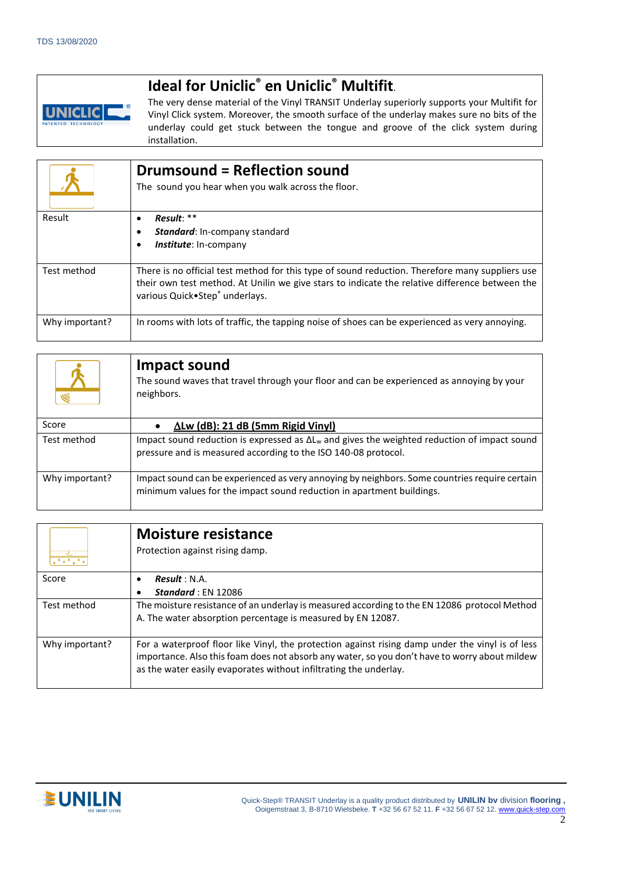# **Ideal for Uniclic® en Uniclic® Multifit**.



The very dense material of the Vinyl TRANSIT Underlay superiorly supports your Multifit for Vinyl Click system. Moreover, the smooth surface of the underlay makes sure no bits of the underlay could get stuck between the tongue and groove of the click system during installation.

|                | <b>Drumsound = Reflection sound</b><br>The sound you hear when you walk across the floor.                                                                                                                                           |
|----------------|-------------------------------------------------------------------------------------------------------------------------------------------------------------------------------------------------------------------------------------|
| Result         | $Result: **$<br><b>Standard:</b> In-company standard<br><b>Institute:</b> In-company                                                                                                                                                |
| Test method    | There is no official test method for this type of sound reduction. Therefore many suppliers use<br>their own test method. At Unilin we give stars to indicate the relative difference between the<br>various Quick.Step® underlays. |
| Why important? | In rooms with lots of traffic, the tapping noise of shoes can be experienced as very annoying.                                                                                                                                      |

| Ŵ              | Impact sound<br>The sound waves that travel through your floor and can be experienced as annoying by your<br>neighbors.                                                |
|----------------|------------------------------------------------------------------------------------------------------------------------------------------------------------------------|
| Score          | $\Delta$ Lw (dB): 21 dB (5mm Rigid Vinyl)                                                                                                                              |
| Test method    | Impact sound reduction is expressed as $\Delta L_w$ and gives the weighted reduction of impact sound<br>pressure and is measured according to the ISO 140-08 protocol. |
| Why important? | Impact sound can be experienced as very annoying by neighbors. Some countries require certain<br>minimum values for the impact sound reduction in apartment buildings. |

| 2.543234       | <b>Moisture resistance</b><br>Protection against rising damp.                                                                                                                                                                                                          |  |
|----------------|------------------------------------------------------------------------------------------------------------------------------------------------------------------------------------------------------------------------------------------------------------------------|--|
| Score          | Result : N.A.                                                                                                                                                                                                                                                          |  |
|                | <b>Standard</b> : $EN$ 12086                                                                                                                                                                                                                                           |  |
| Test method    | The moisture resistance of an underlay is measured according to the EN 12086 protocol Method<br>A. The water absorption percentage is measured by EN 12087.                                                                                                            |  |
| Why important? | For a waterproof floor like Vinyl, the protection against rising damp under the vinyl is of less<br>importance. Also this foam does not absorb any water, so you don't have to worry about mildew<br>as the water easily evaporates without infiltrating the underlay. |  |